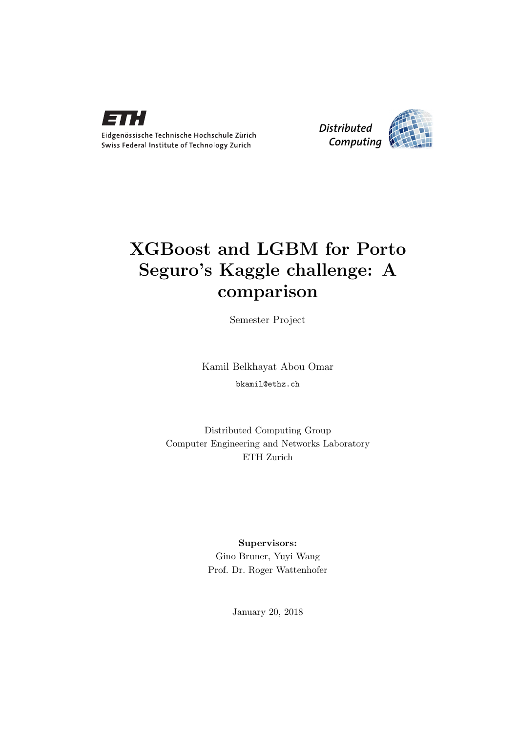



# XGBoost and LGBM for Porto Seguro's Kaggle challenge: A comparison

Semester Project

Kamil Belkhayat Abou Omar bkamil@ethz.ch

Distributed Computing Group Computer Engineering and Networks Laboratory ETH Zurich

> Supervisors: Gino Bruner, Yuyi Wang Prof. Dr. Roger Wattenhofer

> > January 20, 2018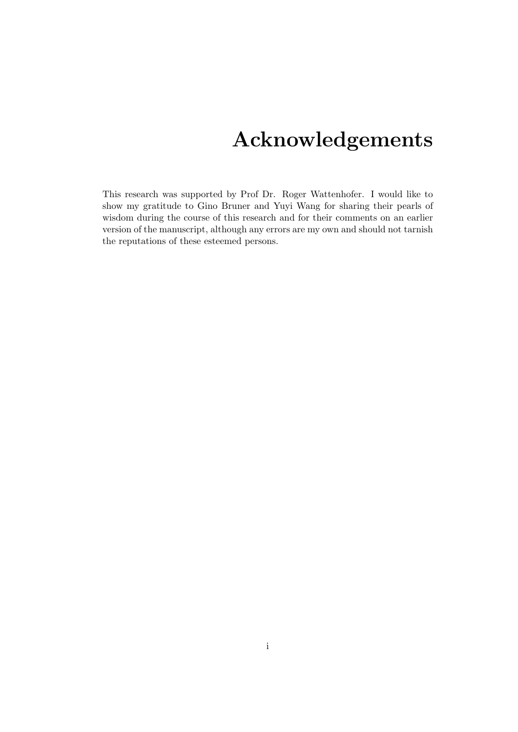# Acknowledgements

<span id="page-1-0"></span>This research was supported by Prof Dr. Roger Wattenhofer. I would like to show my gratitude to Gino Bruner and Yuyi Wang for sharing their pearls of wisdom during the course of this research and for their comments on an earlier version of the manuscript, although any errors are my own and should not tarnish the reputations of these esteemed persons.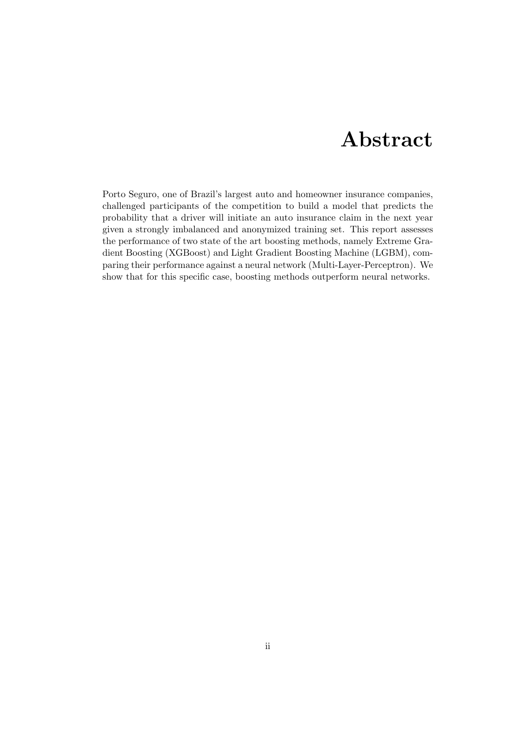# Abstract

<span id="page-2-0"></span>Porto Seguro, one of Brazil's largest auto and homeowner insurance companies, challenged participants of the competition to build a model that predicts the probability that a driver will initiate an auto insurance claim in the next year given a strongly imbalanced and anonymized training set. This report assesses the performance of two state of the art boosting methods, namely Extreme Gradient Boosting (XGBoost) and Light Gradient Boosting Machine (LGBM), comparing their performance against a neural network (Multi-Layer-Perceptron). We show that for this specific case, boosting methods outperform neural networks.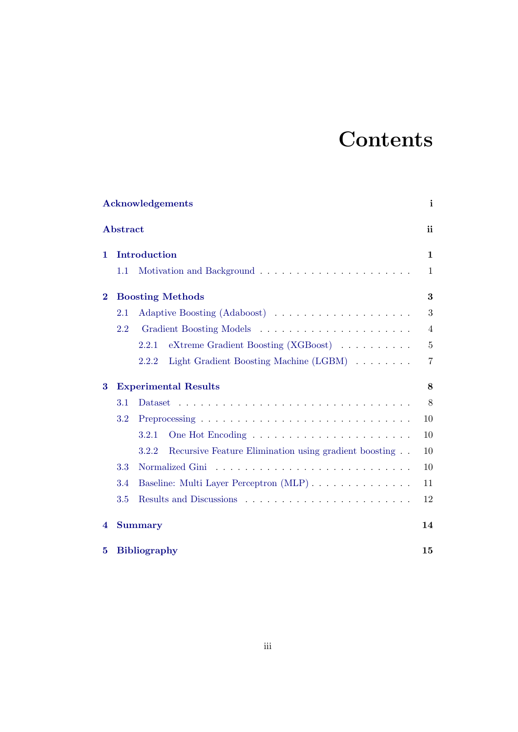# **Contents**

| <b>Acknowledgements</b><br>i |                             |                                                                |                |  |  |
|------------------------------|-----------------------------|----------------------------------------------------------------|----------------|--|--|
|                              | <b>Abstract</b>             |                                                                | ii             |  |  |
| 1.                           |                             | Introduction                                                   | $\mathbf{1}$   |  |  |
|                              | 1.1                         |                                                                | $\mathbf{1}$   |  |  |
| $\bf{2}$                     |                             | <b>Boosting Methods</b>                                        | 3              |  |  |
|                              | 2.1                         |                                                                | 3              |  |  |
|                              | 2.2                         |                                                                | $\overline{4}$ |  |  |
|                              |                             | eXtreme Gradient Boosting (XGBoost)<br>2.2.1                   | $\overline{5}$ |  |  |
|                              |                             | Light Gradient Boosting Machine (LGBM)<br>2.2.2                | $\overline{7}$ |  |  |
| 3                            | <b>Experimental Results</b> |                                                                |                |  |  |
|                              | 3.1                         |                                                                | 8              |  |  |
|                              | 3.2                         |                                                                | 10             |  |  |
|                              |                             | 3.2.1                                                          | 10             |  |  |
|                              |                             | 3.2.2<br>Recursive Feature Elimination using gradient boosting | 10             |  |  |
|                              | 3.3                         | Normalized Gini                                                | 10             |  |  |
|                              | 3.4                         | Baseline: Multi Layer Perceptron (MLP)                         | 11             |  |  |
|                              | 3.5                         |                                                                | 12             |  |  |
| 4                            |                             | <b>Summary</b>                                                 | 14             |  |  |
| 5                            | <b>Bibliography</b><br>15   |                                                                |                |  |  |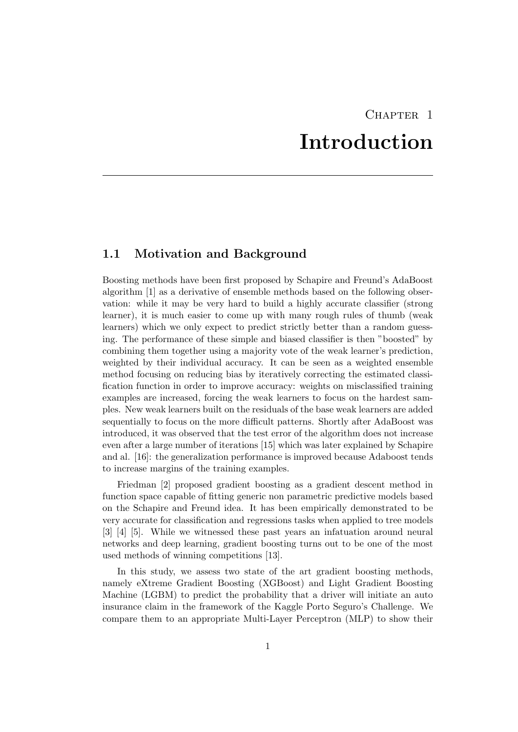# CHAPTER<sub>1</sub> Introduction

## <span id="page-4-1"></span><span id="page-4-0"></span>1.1 Motivation and Background

Boosting methods have been first proposed by Schapire and Freund's AdaBoost algorithm [1] as a derivative of ensemble methods based on the following observation: while it may be very hard to build a highly accurate classifier (strong learner), it is much easier to come up with many rough rules of thumb (weak learners) which we only expect to predict strictly better than a random guessing. The performance of these simple and biased classifier is then "boosted" by combining them together using a majority vote of the weak learner's prediction, weighted by their individual accuracy. It can be seen as a weighted ensemble method focusing on reducing bias by iteratively correcting the estimated classification function in order to improve accuracy: weights on misclassified training examples are increased, forcing the weak learners to focus on the hardest samples. New weak learners built on the residuals of the base weak learners are added sequentially to focus on the more difficult patterns. Shortly after AdaBoost was introduced, it was observed that the test error of the algorithm does not increase even after a large number of iterations [15] which was later explained by Schapire and al. [16]: the generalization performance is improved because Adaboost tends to increase margins of the training examples.

Friedman [2] proposed gradient boosting as a gradient descent method in function space capable of fitting generic non parametric predictive models based on the Schapire and Freund idea. It has been empirically demonstrated to be very accurate for classification and regressions tasks when applied to tree models [3] [4] [5]. While we witnessed these past years an infatuation around neural networks and deep learning, gradient boosting turns out to be one of the most used methods of winning competitions [13].

In this study, we assess two state of the art gradient boosting methods, namely eXtreme Gradient Boosting (XGBoost) and Light Gradient Boosting Machine (LGBM) to predict the probability that a driver will initiate an auto insurance claim in the framework of the Kaggle Porto Seguro's Challenge. We compare them to an appropriate Multi-Layer Perceptron (MLP) to show their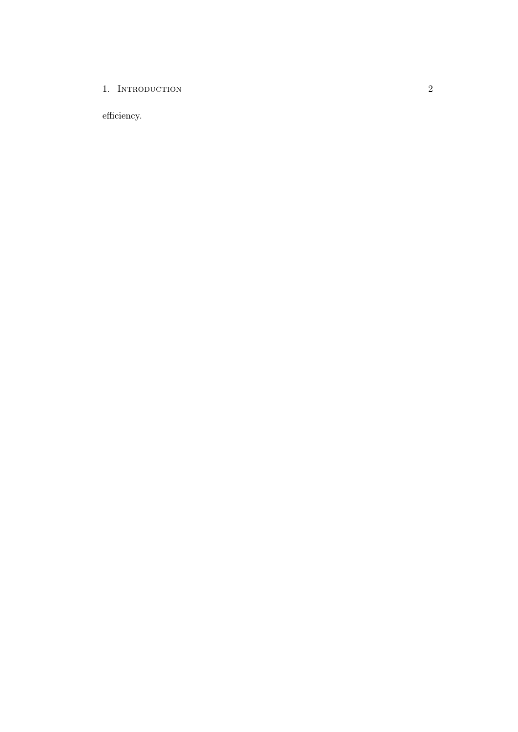### 1. INTRODUCTION

efficiency.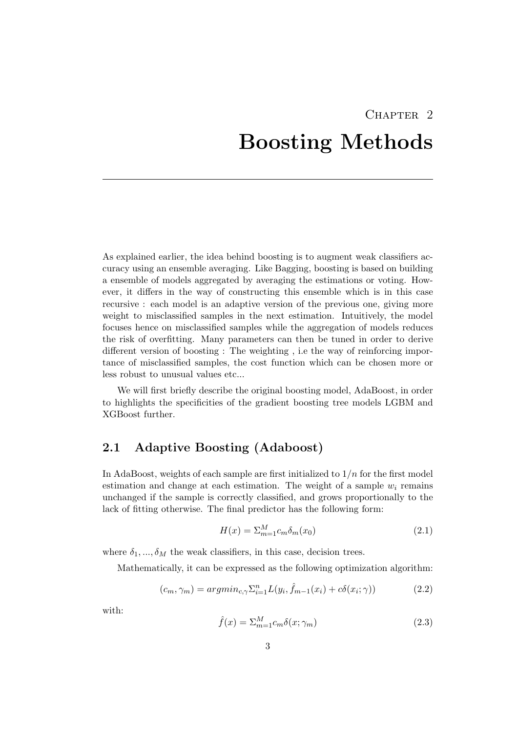# <span id="page-6-0"></span>CHAPTER<sub>2</sub> Boosting Methods

As explained earlier, the idea behind boosting is to augment weak classifiers accuracy using an ensemble averaging. Like Bagging, boosting is based on building a ensemble of models aggregated by averaging the estimations or voting. However, it differs in the way of constructing this ensemble which is in this case recursive : each model is an adaptive version of the previous one, giving more weight to misclassified samples in the next estimation. Intuitively, the model focuses hence on misclassified samples while the aggregation of models reduces the risk of overfitting. Many parameters can then be tuned in order to derive different version of boosting : The weighting , i.e the way of reinforcing importance of misclassified samples, the cost function which can be chosen more or less robust to unusual values etc...

We will first briefly describe the original boosting model, AdaBoost, in order to highlights the specificities of the gradient boosting tree models LGBM and XGBoost further.

## <span id="page-6-1"></span>2.1 Adaptive Boosting (Adaboost)

In AdaBoost, weights of each sample are first initialized to  $1/n$  for the first model estimation and change at each estimation. The weight of a sample  $w_i$  remains unchanged if the sample is correctly classified, and grows proportionally to the lack of fitting otherwise. The final predictor has the following form:

$$
H(x) = \sum_{m=1}^{M} c_m \delta_m(x_0)
$$
\n
$$
(2.1)
$$

where  $\delta_1, ..., \delta_M$  the weak classifiers, in this case, decision trees.

Mathematically, it can be expressed as the following optimization algorithm:

$$
(c_m, \gamma_m) = argmin_{c, \gamma} \sum_{i=1}^n L(y_i, \hat{f}_{m-1}(x_i) + c\delta(x_i; \gamma))
$$
\n(2.2)

with:

$$
\hat{f}(x) = \sum_{m=1}^{M} c_m \delta(x; \gamma_m)
$$
\n(2.3)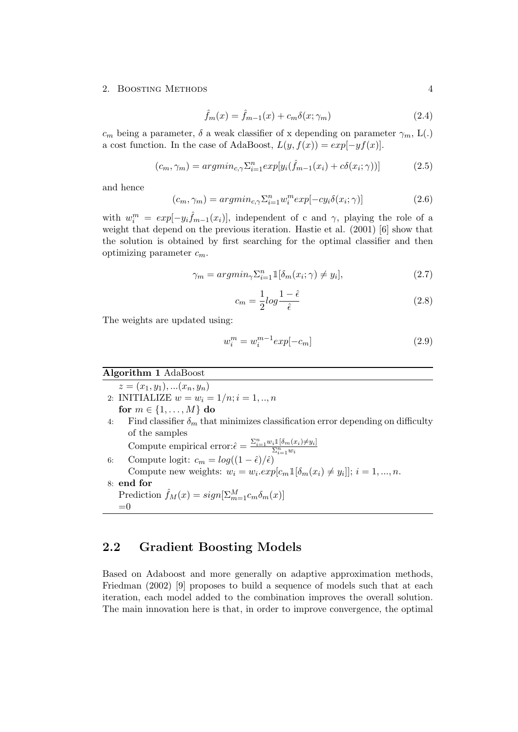$$
\hat{f}_m(x) = \hat{f}_{m-1}(x) + c_m \delta(x; \gamma_m) \tag{2.4}
$$

 $c_m$  being a parameter,  $\delta$  a weak classifier of x depending on parameter  $\gamma_m$ ,  $L(.)$ a cost function. In the case of AdaBoost,  $L(y, f(x)) = exp[-yf(x)]$ .

$$
(c_m, \gamma_m) = argmin_{c, \gamma} \sum_{i=1}^n exp[y_i(\hat{f}_{m-1}(x_i) + c\delta(x_i; \gamma))]
$$
(2.5)

and hence

$$
(c_m, \gamma_m) = argmin_{c, \gamma} \sum_{i=1}^n w_i^m exp[-cy_i \delta(x_i; \gamma)] \tag{2.6}
$$

with  $w_i^m = exp[-y_i\hat{f}_{m-1}(x_i)],$  independent of c and  $\gamma$ , playing the role of a weight that depend on the previous iteration. Hastie et al. (2001) [6] show that the solution is obtained by first searching for the optimal classifier and then optimizing parameter  $c_m$ .

$$
\gamma_m = \operatorname{argmin}_{\gamma} \sum_{i=1}^n \mathbb{1}[\delta_m(x_i; \gamma) \neq y_i],\tag{2.7}
$$

$$
c_m = \frac{1}{2} \log \frac{1 - \hat{\epsilon}}{\hat{\epsilon}} \tag{2.8}
$$

The weights are updated using:

$$
w_i^m = w_i^{m-1} exp[-c_m]
$$
 (2.9)

Algorithm 1 AdaBoost  $z = (x_1, y_1), \ldots, (x_n, y_n)$ 2: INITIALIZE  $w = w_i = 1/n; i = 1, ..., n$ for  $m \in \{1, \ldots, M\}$  do 4: Find classifier  $\delta_m$  that minimizes classification error depending on difficulty of the samples Compute empirical error: $\hat{\epsilon} = \frac{\sum_{i=1}^{n} w_i \mathbb{1}[\delta_m(x_i) \neq y_i]}{\sum_{i=1}^{n} w_i}$ 6: Compute logit:  $c_m = log((1 - \hat{\epsilon})/\hat{\epsilon})$ Compute new weights:  $w_i = w_i \cdot exp[c_m \mathbb{1}[\delta_m(x_i) \neq y_i]]$ ;  $i = 1, ..., n$ . 8: end for Prediction  $\hat{f}_M(x) = sign[\sum_{m=1}^{M} c_m \delta_m(x)]$  $=0$ 

## <span id="page-7-0"></span>2.2 Gradient Boosting Models

Based on Adaboost and more generally on adaptive approximation methods, Friedman (2002) [9] proposes to build a sequence of models such that at each iteration, each model added to the combination improves the overall solution. The main innovation here is that, in order to improve convergence, the optimal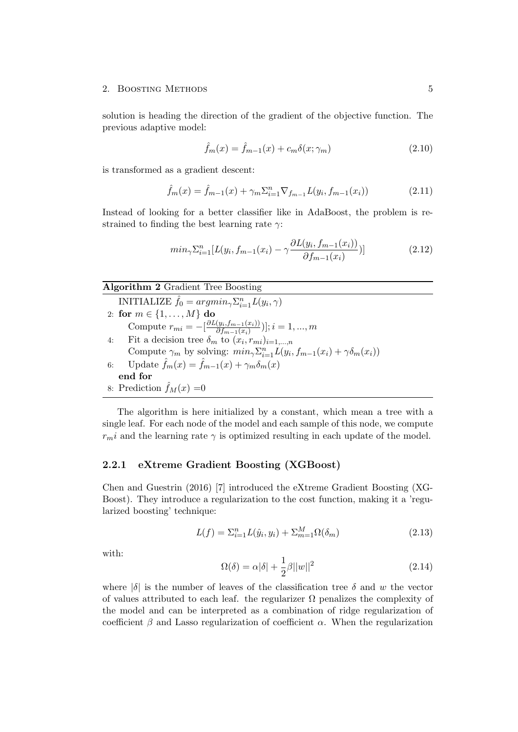solution is heading the direction of the gradient of the objective function. The previous adaptive model:

$$
\hat{f}_m(x) = \hat{f}_{m-1}(x) + c_m \delta(x; \gamma_m)
$$
\n(2.10)

is transformed as a gradient descent:

$$
\hat{f}_m(x) = \hat{f}_{m-1}(x) + \gamma_m \Sigma_{i=1}^n \nabla_{f_{m-1}} L(y_i, f_{m-1}(x_i))
$$
\n(2.11)

Instead of looking for a better classifier like in AdaBoost, the problem is restrained to finding the best learning rate  $\gamma$ :

$$
min_{\gamma} \sum_{i=1}^{n} [L(y_i, f_{m-1}(x_i) - \gamma \frac{\partial L(y_i, f_{m-1}(x_i))}{\partial f_{m-1}(x_i)})]
$$
(2.12)

#### Algorithm 2 Gradient Tree Boosting

| INITIALIZE $\hat{f}_0 = argmin_{\gamma} \sum_{i=1}^n L(y_i, \gamma)$                                     |  |  |  |
|----------------------------------------------------------------------------------------------------------|--|--|--|
| 2: for $m \in \{1, , M\}$ do                                                                             |  |  |  |
| Compute $r_{mi} = -\left[\frac{\partial L(y_i, f_{m-1}(x_i))}{\partial f_{m-1}(x_i)}\right]; i = 1, , m$ |  |  |  |
| 4: Fit a decision tree $\delta_m$ to $(x_i, r_{mi})_{i=1,,n}$                                            |  |  |  |
| Compute $\gamma_m$ by solving: $min_{\gamma} \sum_{i=1}^n L(y_i, f_{m-1}(x_i) + \gamma \delta_m(x_i))$   |  |  |  |
| 6: Update $\hat{f}_m(x) = \hat{f}_{m-1}(x) + \gamma_m \delta_m(x)$                                       |  |  |  |
| end for                                                                                                  |  |  |  |
| 8: Prediction $f_M(x) = 0$                                                                               |  |  |  |

The algorithm is here initialized by a constant, which mean a tree with a single leaf. For each node of the model and each sample of this node, we compute  $r_m$ *i* and the learning rate  $\gamma$  is optimized resulting in each update of the model.

### <span id="page-8-0"></span>2.2.1 eXtreme Gradient Boosting (XGBoost)

Chen and Guestrin (2016) [7] introduced the eXtreme Gradient Boosting (XG-Boost). They introduce a regularization to the cost function, making it a 'regularized boosting' technique:

$$
L(f) = \sum_{i=1}^{n} L(\hat{y}_i, y_i) + \sum_{m=1}^{M} \Omega(\delta_m)
$$
\n(2.13)

with:

$$
\Omega(\delta) = \alpha |\delta| + \frac{1}{2}\beta ||w||^2 \tag{2.14}
$$

where  $|\delta|$  is the number of leaves of the classification tree  $\delta$  and w the vector of values attributed to each leaf. the regularizer  $\Omega$  penalizes the complexity of the model and can be interpreted as a combination of ridge regularization of coefficient  $\beta$  and Lasso regularization of coefficient  $\alpha$ . When the regularization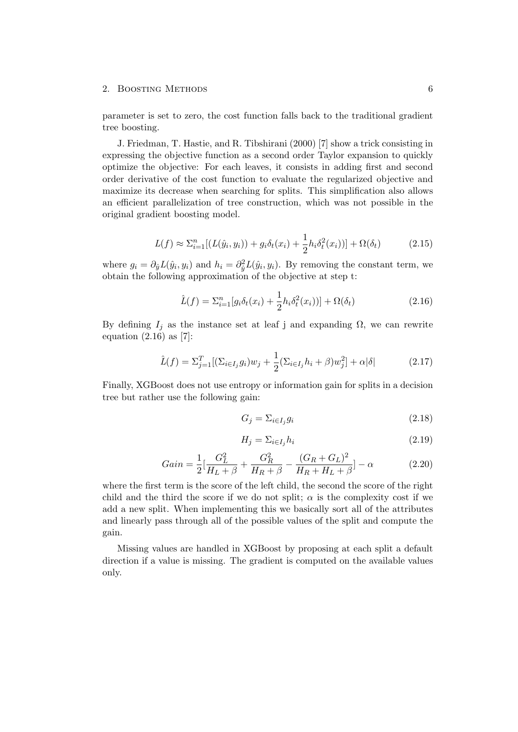parameter is set to zero, the cost function falls back to the traditional gradient tree boosting.

J. Friedman, T. Hastie, and R. Tibshirani (2000) [7] show a trick consisting in expressing the objective function as a second order Taylor expansion to quickly optimize the objective: For each leaves, it consists in adding first and second order derivative of the cost function to evaluate the regularized objective and maximize its decrease when searching for splits. This simplification also allows an efficient parallelization of tree construction, which was not possible in the original gradient boosting model.

$$
L(f) \approx \sum_{i=1}^{n} \left[ \left( L(\hat{y}_i, y_i) \right) + g_i \delta_t(x_i) + \frac{1}{2} h_i \delta_t^2(x_i) \right] + \Omega(\delta_t)
$$
 (2.15)

where  $g_i = \partial_{\hat{y}} L(\hat{y}_i, y_i)$  and  $h_i = \partial_{\hat{y}}^2 L(\hat{y}_i, y_i)$ . By removing the constant term, we obtain the following approximation of the objective at step t:

$$
\hat{L}(f) = \sum_{i=1}^{n} [g_i \delta_t(x_i) + \frac{1}{2} h_i \delta_t^2(x_i))] + \Omega(\delta_t)
$$
\n(2.16)

By defining  $I_j$  as the instance set at leaf j and expanding  $\Omega$ , we can rewrite equation  $(2.16)$  as [7]:

$$
\hat{L}(f) = \Sigma_{j=1}^{T} [(\Sigma_{i \in I_j} g_i) w_j + \frac{1}{2} (\Sigma_{i \in I_j} h_i + \beta) w_j^2] + \alpha |\delta|
$$
\n(2.17)

Finally, XGBoost does not use entropy or information gain for splits in a decision tree but rather use the following gain:

$$
G_j = \sum_{i \in I_j} g_i \tag{2.18}
$$

$$
H_j = \sum_{i \in I_j} h_i \tag{2.19}
$$

$$
Gain = \frac{1}{2} \left[ \frac{G_L^2}{H_L + \beta} + \frac{G_R^2}{H_R + \beta} - \frac{(G_R + G_L)^2}{H_R + H_L + \beta} \right] - \alpha \tag{2.20}
$$

where the first term is the score of the left child, the second the score of the right child and the third the score if we do not split;  $\alpha$  is the complexity cost if we add a new split. When implementing this we basically sort all of the attributes and linearly pass through all of the possible values of the split and compute the gain.

Missing values are handled in XGBoost by proposing at each split a default direction if a value is missing. The gradient is computed on the available values only.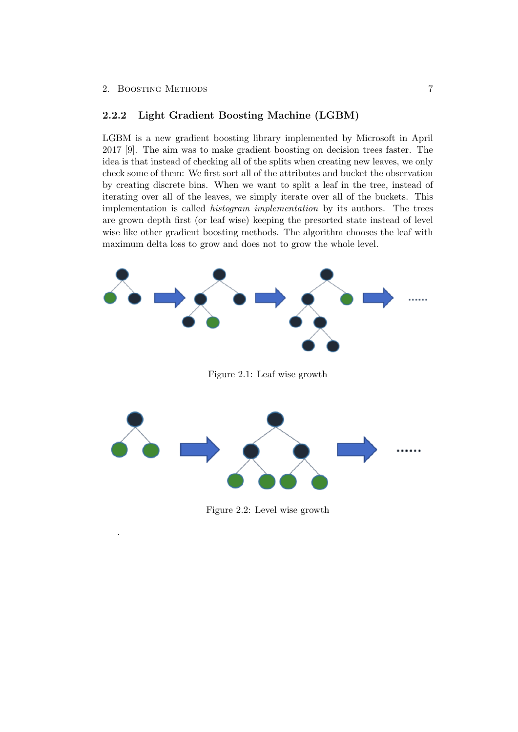.

### <span id="page-10-0"></span>2.2.2 Light Gradient Boosting Machine (LGBM)

LGBM is a new gradient boosting library implemented by Microsoft in April 2017 [9]. The aim was to make gradient boosting on decision trees faster. The idea is that instead of checking all of the splits when creating new leaves, we only check some of them: We first sort all of the attributes and bucket the observation by creating discrete bins. When we want to split a leaf in the tree, instead of iterating over all of the leaves, we simply iterate over all of the buckets. This implementation is called *histogram implementation* by its authors. The trees are grown depth first (or leaf wise) keeping the presorted state instead of level wise like other gradient boosting methods. The algorithm chooses the leaf with maximum delta loss to grow and does not to grow the whole level.



Figure 2.2: Level wise growth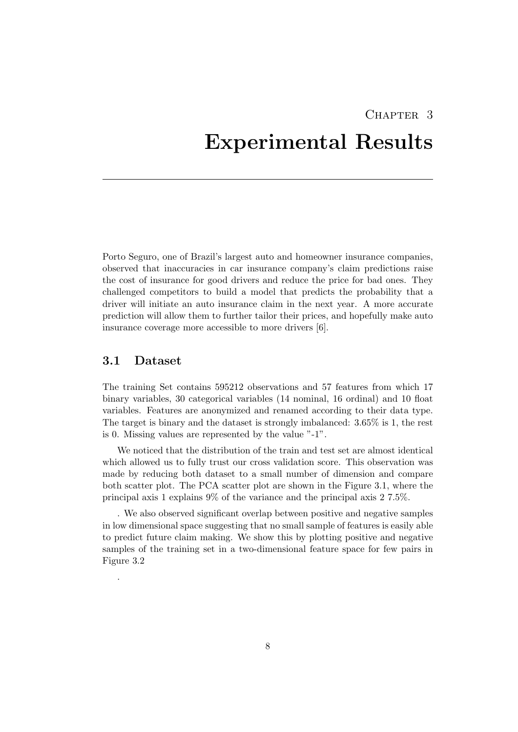# <span id="page-11-0"></span>CHAPTER<sub>3</sub> Experimental Results

Porto Seguro, one of Brazil's largest auto and homeowner insurance companies, observed that inaccuracies in car insurance company's claim predictions raise the cost of insurance for good drivers and reduce the price for bad ones. They challenged competitors to build a model that predicts the probability that a driver will initiate an auto insurance claim in the next year. A more accurate prediction will allow them to further tailor their prices, and hopefully make auto insurance coverage more accessible to more drivers [6].

## <span id="page-11-1"></span>3.1 Dataset

.

The training Set contains 595212 observations and 57 features from which 17 binary variables, 30 categorical variables (14 nominal, 16 ordinal) and 10 float variables. Features are anonymized and renamed according to their data type. The target is binary and the dataset is strongly imbalanced: 3.65% is 1, the rest is 0. Missing values are represented by the value "-1".

We noticed that the distribution of the train and test set are almost identical which allowed us to fully trust our cross validation score. This observation was made by reducing both dataset to a small number of dimension and compare both scatter plot. The PCA scatter plot are shown in the Figure 3.1, where the principal axis 1 explains 9% of the variance and the principal axis 2 7.5%.

. We also observed significant overlap between positive and negative samples in low dimensional space suggesting that no small sample of features is easily able to predict future claim making. We show this by plotting positive and negative samples of the training set in a two-dimensional feature space for few pairs in Figure 3.2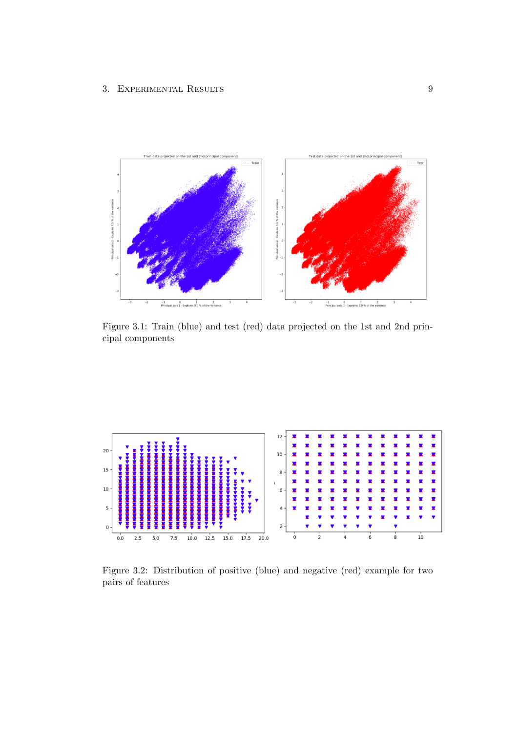

Figure 3.1: Train (blue) and test (red) data projected on the 1st and 2nd principal components



Figure 3.2: Distribution of positive (blue) and negative (red) example for two pairs of features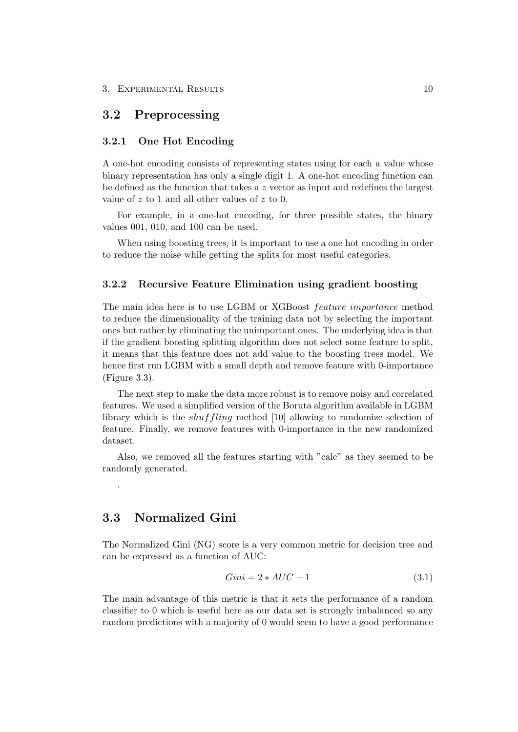### <span id="page-13-0"></span>3.2 Preprocessing

### <span id="page-13-1"></span>3.2.1 One Hot Encoding

A one-hot encoding consists of representing states using for each a value whose binary representation has only a single digit 1. A one-hot encoding function can be defined as the function that takes a  $z$  vector as input and redefines the largest value of z to 1 and all other values of z to 0.

For example, in a one-hot encoding, for three possible states, the binary values 001, 010, and 100 can be used.

When using boosting trees, it is important to use a one hot encoding in order to reduce the noise while getting the splits for most useful categories.

### <span id="page-13-2"></span>3.2.2 Recursive Feature Elimination using gradient boosting

The main idea here is to use LGBM or XGBoost *feature importance* method to reduce the dimensionality of the training data not by selecting the important ones but rather by eliminating the unimportant ones. The underlying idea is that if the gradient boosting splitting algorithm does not select some feature to split, it means that this feature does not add value to the boosting trees model. We hence first run LGBM with a small depth and remove feature with 0-importance (Figure 3.3).

The next step to make the data more robust is to remove noisy and correlated features. We used a simplified version of the Boruta algorithm available in LGBM library which is the shuffling method [10] allowing to randomize selection of feature. Finally, we remove features with 0-importance in the new randomized dataset.

Also, we removed all the features starting with "calc" as they seemed to be randomly generated.

## <span id="page-13-3"></span>3.3 Normalized Gini

.

The Normalized Gini (NG) score is a very common metric for decision tree and can be expressed as a function of AUC:

$$
Gini = 2 * AUC - 1 \tag{3.1}
$$

The main advantage of this metric is that it sets the performance of a random classifier to 0 which is useful here as our data set is strongly imbalanced so any random predictions with a majority of 0 would seem to have a good performance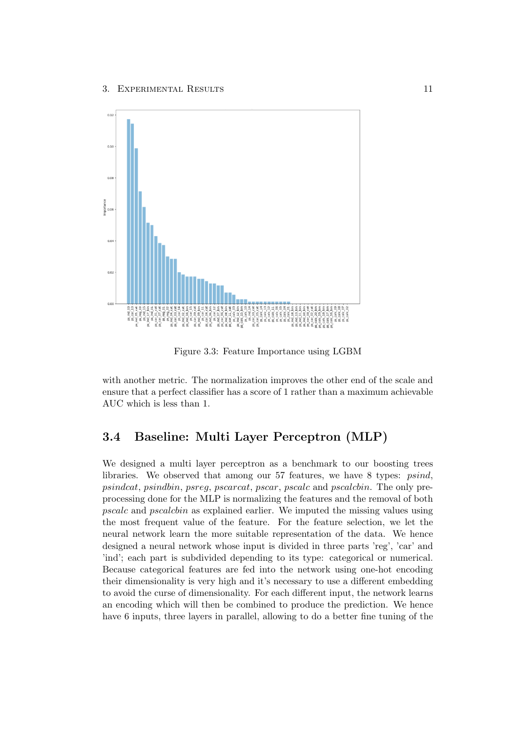

Figure 3.3: Feature Importance using LGBM

with another metric. The normalization improves the other end of the scale and ensure that a perfect classifier has a score of 1 rather than a maximum achievable AUC which is less than 1.

## <span id="page-14-0"></span>3.4 Baseline: Multi Layer Perceptron (MLP)

We designed a multi layer perceptron as a benchmark to our boosting trees libraries. We observed that among our 57 features, we have 8 types: psind, psindcat, psindbin, psreg, pscarcat, pscar, pscalc and pscalcbin. The only preprocessing done for the MLP is normalizing the features and the removal of both pscalc and pscalcbin as explained earlier. We imputed the missing values using the most frequent value of the feature. For the feature selection, we let the neural network learn the more suitable representation of the data. We hence designed a neural network whose input is divided in three parts 'reg', 'car' and 'ind'; each part is subdivided depending to its type: categorical or numerical. Because categorical features are fed into the network using one-hot encoding their dimensionality is very high and it's necessary to use a different embedding to avoid the curse of dimensionality. For each different input, the network learns an encoding which will then be combined to produce the prediction. We hence have 6 inputs, three layers in parallel, allowing to do a better fine tuning of the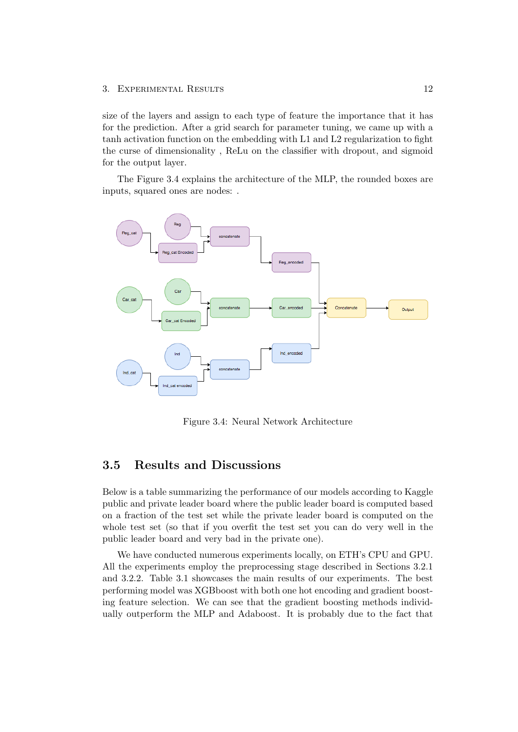### 3. EXPERIMENTAL RESULTS 12

size of the layers and assign to each type of feature the importance that it has for the prediction. After a grid search for parameter tuning, we came up with a tanh activation function on the embedding with L1 and L2 regularization to fight the curse of dimensionality , ReLu on the classifier with dropout, and sigmoid for the output layer.

The Figure 3.4 explains the architecture of the MLP, the rounded boxes are inputs, squared ones are nodes: .



Figure 3.4: Neural Network Architecture

## <span id="page-15-0"></span>3.5 Results and Discussions

Below is a table summarizing the performance of our models according to Kaggle public and private leader board where the public leader board is computed based on a fraction of the test set while the private leader board is computed on the whole test set (so that if you overfit the test set you can do very well in the public leader board and very bad in the private one).

We have conducted numerous experiments locally, on ETH's CPU and GPU. All the experiments employ the preprocessing stage described in Sections 3.2.1 and 3.2.2. Table 3.1 showcases the main results of our experiments. The best performing model was XGBboost with both one hot encoding and gradient boosting feature selection. We can see that the gradient boosting methods individually outperform the MLP and Adaboost. It is probably due to the fact that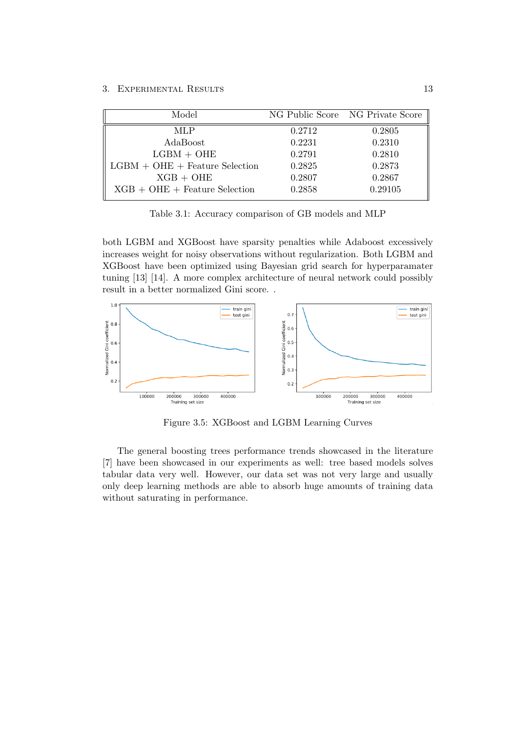| Model                            |        | NG Public Score NG Private Score |
|----------------------------------|--------|----------------------------------|
| MLP                              | 0.2712 | 0.2805                           |
| AdaBoost                         | 0.2231 | 0.2310                           |
| $LGBM + OHE$                     | 0.2791 | 0.2810                           |
| $LGBM + OHE + Feature Selection$ | 0.2825 | 0.2873                           |
| $XGB + OHE$                      | 0.2807 | 0.2867                           |
| $XGB + OHE + Feature Selection$  | 0.2858 | 0.29105                          |

Table 3.1: Accuracy comparison of GB models and MLP

both LGBM and XGBoost have sparsity penalties while Adaboost excessively increases weight for noisy observations without regularization. Both LGBM and XGBoost have been optimized using Bayesian grid search for hyperparamater tuning [13] [14]. A more complex architecture of neural network could possibly result in a better normalized Gini score. .



Figure 3.5: XGBoost and LGBM Learning Curves

The general boosting trees performance trends showcased in the literature [7] have been showcased in our experiments as well: tree based models solves tabular data very well. However, our data set was not very large and usually only deep learning methods are able to absorb huge amounts of training data without saturating in performance.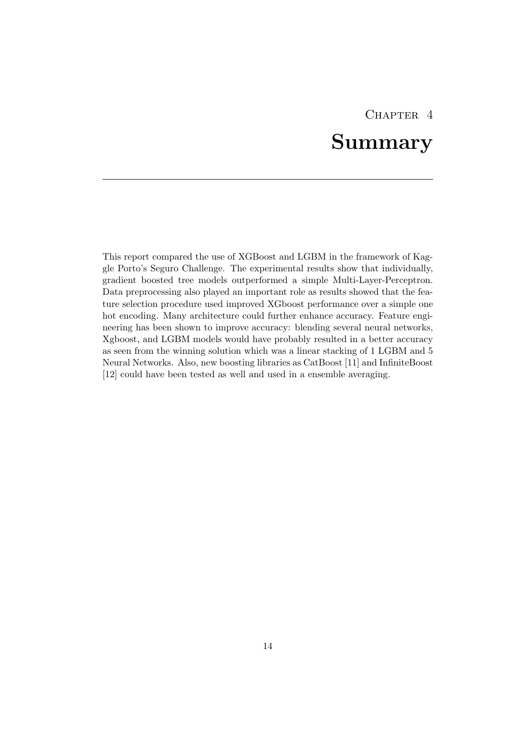# CHAPTER<sub>4</sub>

# Summary

<span id="page-17-0"></span>This report compared the use of XGBoost and LGBM in the framework of Kaggle Porto's Seguro Challenge. The experimental results show that individually, gradient boosted tree models outperformed a simple Multi-Layer-Perceptron. Data preprocessing also played an important role as results showed that the feature selection procedure used improved XGboost performance over a simple one hot encoding. Many architecture could further enhance accuracy. Feature engineering has been shown to improve accuracy: blending several neural networks, Xgboost, and LGBM models would have probably resulted in a better accuracy as seen from the winning solution which was a linear stacking of 1 LGBM and 5 Neural Networks. Also, new boosting libraries as CatBoost [11] and InfiniteBoost [12] could have been tested as well and used in a ensemble averaging.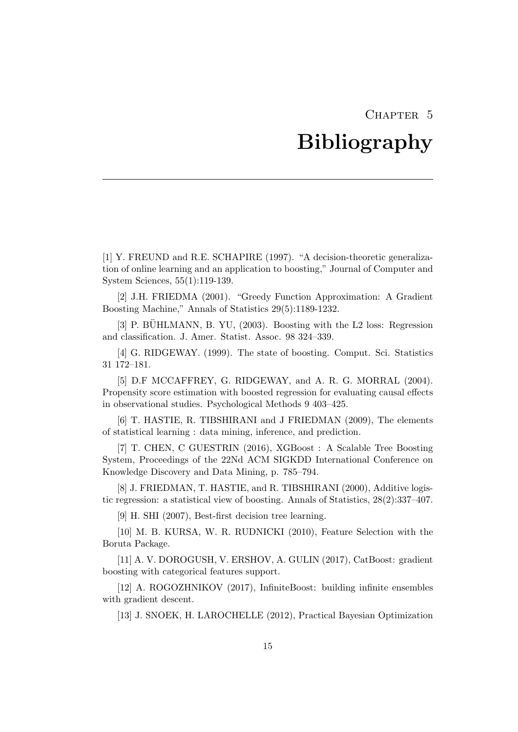# CHAPTER 5

# Bibliography

<span id="page-18-0"></span>[1] Y. FREUND and R.E. SCHAPIRE (1997). "A decision-theoretic generalization of online learning and an application to boosting," Journal of Computer and System Sciences, 55(1):119-139.

[2] J.H. FRIEDMA (2001). "Greedy Function Approximation: A Gradient Boosting Machine," Annals of Statistics 29(5):1189-1232.

 $[3]$  P. BÜHLMANN, B. YU,  $(2003)$ . Boosting with the L2 loss: Regression and classification. J. Amer. Statist. Assoc. 98 324–339.

[4] G. RIDGEWAY. (1999). The state of boosting. Comput. Sci. Statistics 31 172–181.

[5] D.F MCCAFFREY, G. RIDGEWAY, and A. R. G. MORRAL (2004). Propensity score estimation with boosted regression for evaluating causal effects in observational studies. Psychological Methods 9 403–425.

[6] T. HASTIE, R. TIBSHIRANI and J FRIEDMAN (2009), The elements of statistical learning : data mining, inference, and prediction.

[7] T. CHEN, C GUESTRIN (2016), XGBoost : A Scalable Tree Boosting System, Proceedings of the 22Nd ACM SIGKDD International Conference on Knowledge Discovery and Data Mining, p. 785–794.

[8] J. FRIEDMAN, T. HASTIE, and R. TIBSHIRANI (2000), Additive logistic regression: a statistical view of boosting. Annals of Statistics, 28(2):337–407.

[9] H. SHI (2007), Best-first decision tree learning.

[10] M. B. KURSA, W. R. RUDNICKI (2010), Feature Selection with the Boruta Package.

[11] A. V. DOROGUSH, V. ERSHOV, A. GULIN (2017), CatBoost: gradient boosting with categorical features support.

[12] A. ROGOZHNIKOV (2017), InfiniteBoost: building infinite ensembles with gradient descent.

[13] J. SNOEK, H. LAROCHELLE (2012), Practical Bayesian Optimization